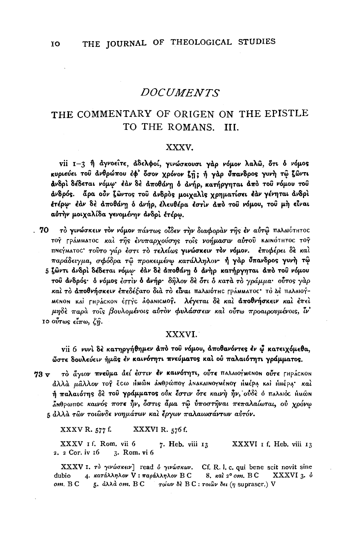#### THE COMMENTARY OF ORIGEN ON THE EPISTLE TO THE ROMANS. III.

#### XXXV.

vii 1-3 ή άγνοείτε, άδελφοί, γινώσκουσι γάρ νόμον λαλώ, ότι δ νόμος κυριεύει του ανθρώπου έφ' δσον χρόνον ζή; ή γαρ ύπανδρος γυνή τώ ζώντι ανδρί δέδεται νόμω· έάν δε αποθάνη δ ανήρ, κατήργηται άπό του νόμου του άνδρός. άρα ούν ζώντος του άνδρος μοιχαλίς χρηματίσει έάν γένηται άνδρι έτέρω· έάν δε αποθάνη ο ανήρ, έλευθέρα έστιν από του νόμου, του μη είναι αύτην μοιχαλίδα γενομένην άνδρι έτέρω.

. 70 το γινώσκειν τον νόμον πάντως οίδεν την διαφοραν της έν αύτω παλαιότητος τογ ΓράΜΜΑτος και της ένυπαρχούσης τοίς νοήμασιν αύτου καιΝότητος τογ πΝεγματος τούτο γάρ έστι το τελείως γινώσκειν τον νόμον. επιφέρει δε καί παράδειγμα, σφόδρα τω προκειμένω κατάλληλον· ή γάρ ΰπανδρος γυνή τώ 5 ζώντι άνδρί δέδεται νόμω· έάν δε άποθάνη δ άνηρ κατήργηται άπό του νόμου του άνδρός· ό νόμος έστιν δ άνήρ· δήλον δε ότι ό κατά το γράμμα· ούτος γάρ καί το αποθνήσκειν επεδέξατο διά το είναι παλαιότης γράμματος· το Δέ παλαιογ-MENON και ΓΗΡάςκοΝ έΓΓΥΟ άφαΝΙΟΜΟΥ. λέγεται δε και αποθνήσκειν και έπει μηδέ παρά τοις βουλομένοις αύτον φυλάσσειν και ούτω προαιρουμένοις, ίν το ούτως είπω, ζή.

#### XXXVI.

vii 6 νυνί δέ κατηργήθημεν άπό του νόμου, άποθανόντες έν ώ κατειχόμεθα, ώστε δουλεύειν ήμας έν καινότητι πνεύματος και ού παλαιότητι γράμματος.

το άγιον πνεύμα αεί έστιν έν καινότητι, ούτε παλαιογμενον ούτε ΓΗΡΑΣΚΟΝ  $73 \text{ v}$ άλλά μάλλον το έ έτω ΗΜώΝ ΔΝθρώπογ ΔΝΑΚΑΙΝΟΥΜέΝΟΥ ΗΜέρα και ΗΜέρα και ή παλαιότης δε του γράμματος ούκ έστιν ότε καινή ήν, ούδε ό παλαιός ήμών ΔΝθρωπος καινός ποτε ήν, όστις άμα τω ύποστήναι πεπαλαίωται, ού χρόνω 5 άλλά των τοιώνδε νοημάτων και έργων παλαιωσάντων αυτόν.

XXXVI R. 576 f. XXXV R. 577 f.

XXXV 1 f. Rom. vii 6 7. Heb. viii 13 XXXVI I f. Heb. viii 13 2. 2 Cor. iv 16 3. Rom. vi 6

XXXV 1.  $\tau\delta$   $\gamma\nu\nu\omega\sigma\kappa\epsilon\nu$  read  $\delta$   $\gamma\nu\nu\omega\sigma\kappa\omega\nu$ . Cf. R. I. c. qui bene scit novit sine 4. κατάλληλον V: παράλληλον B C 8.  $\kappa$ aì 2° om. BC XXXVI 3. δ dubio 5. άλλά om. B C  $\overline{\phantom{a}}$  τοίων δε B C : τοιῶν δει (η supraser.) V om. B C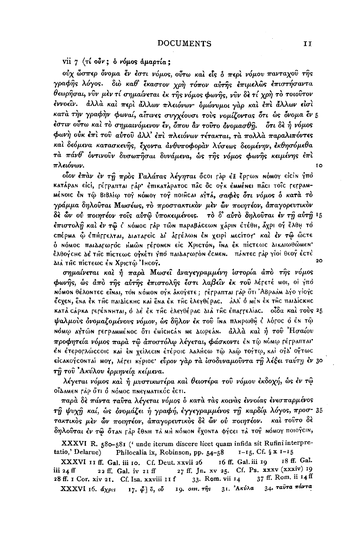vii 7 (τί ούν; δ νόμος άμαρτία;

ούχ ὦσπερ ὄνομα ἔν ἐστι νόμος, οὖτω καὶ εἶς ὁ περὶ νόμου πανταχοῦ τῆς γραφής λόγος. διο καθ' έκαστον χρή τόπον αύτης επιμελώς επιστήσαντα θεωρήσαι, νົυν μεν τί σημαίνεται εκ της νόμος φωνής, νῦν δε τί χρὴ τὸ τοιοῦτον έννοεῖν. ἀλλὰ καὶ περὶ ἄλλων πλειόνων· ὁμώνυμοι γὰρ καὶ ἐπὶ ἄλλων εἰσὶ κατά την γραφήν φωναί, αίτινες συγχέουσι τούς γομίζοντας ότι ώς όνομα έν 5 έστιν ούτω καί το σημαινόμενον έν, δπου άν τούτο ονομασθή. δτι δε ή νόμος φωνή ούκ έπι του αύτου άλλ' έπι πλειόνων τέτακται, τα πολλα παραλιπόντες και δεόμενα κατασκευής, έχοντα άνθυποφοραν λύσεως δεομένην, εκθησόμεθα τα πάνθ' δντινούν δυσωπήσαι δυνάμενα, ώς τής νόμος φωνής κειμένης έπι πλειόνων. IO.

οίον έπαν έν τη πρός Γαλάτας λέγηται ότοι ταρ έξ έρτων νόμογ είτιν γπό катаран еісі, герраптан гар• епікатаратос пас ос оук емменен пасі тоїс геграм-ΜέΝΟΙΟ έΝ ΤΦ ΒΙΒλίφ τογ ΝόΜΟΥ τογ ποιήςαι αγτά, σαφές ότι νόμος ο κατά το γράμμα δηλούται Μωσέως, το προστακτικον μεν ών ποιητέον, άπαγορευτικον δε ὧν ού ποιητέον τοίς αύτώ ύποκειμένοις. το δ' αύτο δηλούται έν τη αύτη 15 έπιστολŷ καὶ ἐν τῷ ἰ Νόμος Γåρ τῶΝ παραβάςεωΝ χάριΝ ἐτέθμ, ἄχρι ογ̂ ἔλθμ το cπέρΜα Φ έπήττελται, Διατατείς Δι άττέλων έν χειρί Μεςίτογ και έν τώ ώςτε ό ΝόΜΟς παιΔατωτός ΗΜώΝ τέτοΝΕΝ είς ΧριςτόΝ, ΐΝα έκ πίςτεως ΔικαιωθώμεΝ' έλθογεμε Δε τμε πίετεωε ογκέτι γπο παιΔατωτόn έεΜεn. πάnτες τάρ γίοι θεογ έετε  $20$ Διά της πίστεως έν Χριστώ Ίμεογ.

σημαίνεται καὶ ή παρὰ Μωσεῖ ἀναγεγραμμένη ίστορία ἀπὸ τῆς νόμος φωνής, ως άπό της αύτης έπιστολής έστι λαβείν έκ του λέγετέ ΜΟΙ, οί γπό ΝόΜΟΝ θέλοΝτες εΐΝαι, τον ΝόΜΟΝ ογκ ακογετε; τέτραπται ταρ ὅτι ἈΒραάΜ Δγο γίογς έςχεη, έna έκ τĤc πaιΔίcκhc κaì ἕna ἐκ τĤc ἐλεγθέρac. ἀλλ' ὁ mèn ἐκ τĤc πaιΔίcκhc κατά cápκα τετέΝΝΗΤΑΙ, ό Δε έκ της ελεγθέρας Διά της επαττελίας. οίδα και τους 25 ψαλμούς όνομαζομένους νόμον, ώς δήλον έκ του ίνα πληρωθή έ λόγος ό έν τώ ΝόΜω αγτών Γετραμμένος ότι εμίςμεάν με Δωρεάν. άλλα και ή του Ήσαίου προφητεία νόμος παρά τῶ ἀποστόλω λέγεται, φάσκοντι ἐΝ τῷ ΝύΜΦ ΓέΓΡΑΠΤΑΙ' έΝ έτερογλώςςοις καὶ ἐΝ χείλεςιΝ ἑτέροις λαλήςω τῷ λαῷ τογτῳ, καὶ ογλ ογτως είςακογςοηταί ΜΟΥ, λέτει κγριος· εὖρον γάρ τα ισοδυναμοῦντα τῆ λέξει ταύτη έν 30 τη του Ακύλου έρμηνεία κείμενα.

λέγεται νόμος και ή μυστικωτέρα και θειοτέρα του νόμου εκδοχή, ως εν τω οΐΔαΜεΝ ΓΑΡ ὅτι δ ΝόΜΟς πΝεγΜΑτικός έςτι.

παρὰ δὲ πάντα ταῢτα λέγεται νόμος ὁ κατὰ τὰς κοινὰς ἐννοίας ἐνεσπαρμένος τη ψυχη καί, ώς ονομάζει ή γραφή, έγγεγραμμένος τη καρδία λόγος, προσ-35 τακτικὸς μὲν ὧν ποιητέον, ἀπαγορευτικὸς δὲ ὧν οὐ ποιητέον. καὶ τοῦτο δὲ δηλούται έν τώ όταν Γάρ έθΝΗ τά ΜΗ ΝόΜΟΝ έχοΝΤΑ φήςει τά τος ΝόΜΟΥ ΠΟΙΟΥΣΙΝ,

XXXVI R. 580-581 ('unde iterum discere licet quam infida sit Rufini interpre- $I-I_5$ . Cf. § x  $I-I_5$ tatio,' Delarue) Philocalia ix, Robinson, pp. 54-58

XXXVI 11 ff. Gal. iii 10. Cf. Deut. xxvii 26 16 ff. Gal. iii 19 18 ff. Gal. 27 ff. Jn. xv 25. Cf. Ps. xxxv (xxxiv) 19 iii 24 ff 22 ff. Gal. iv 21 ff 37 ff. Rom. ii 14 ff 33. Rom. vii 14 28 ff. I Cor. xiv 21, Cf. Isa. xxviii 11 f XXXVI 16. άχρις 17. φ] ο, ού 19. ονη. της 31. Ακύλα 34. ταύτα πάντα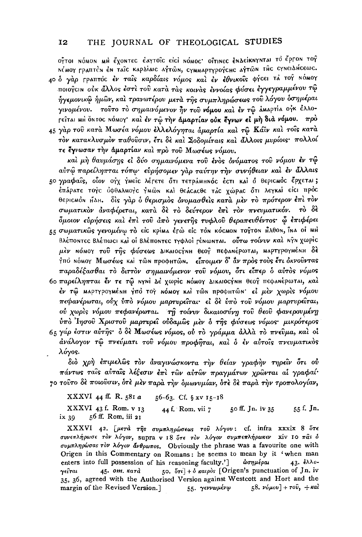ΟΫ́ΤΟΙ ΝΌΜΟΝ ΜΗ ΕΎΟΝΤΕC ΕΑΥΤΟΪ́C EICI ΝΌΜΟC' ΟΪ́ΤΙΝΕC ΕΝΔΕΪ́ΚΝΥΝΤΑΙ ΤΟ Ε̈́ΡΓΟΝ ΤΟΫ́ N'MOY Γραπτέν εν ταΐς καρδίαις αγτών, σγΜΜΑΡΤΥΡΟΥΣΗς αγτών της σγΝειδήςεως. 40 δ γάρ Γραπτός έν ταίς καρδίαις νόμος και έν έθνικοίς φήςει τα τοΥ Νόμογ ποιογειν ούκ άλλος έστι του κατά τάς κοινάς έννοίας φύσει έγγεγραμμένου τώ ήγεμονικώ ήμών, και τρανωτέρου μετά της συμπληρώσεως του λόγου δσημέραι γινομένου. τούτο το σημαινόμενον ήν του νόμου και έν τω αΜαρτία ογκ έλλο-Γείται ΜΗ ΌΝΤΟΣ ΝόΜΟΥ και έν τώ την άμαρτίαν ούκ έγνων εί μη διά νόμου. πρό

45 γαρ του κατά Μωσέα νόμου έλλελόγηται άμαρτία και τω Κάϊν και τοίς κατά τον κατακλυσμον παθούσιν, έτι δε και Σοδομίταις και άλλοις μυρίοις· πολλοί τε έγνωσαν την άμαρτίαν και προ του Μωσέως νόμου.

καὶ μὴ θαυμάσης εἰ δύο σημαινόμενα τοῦ ἐνὸς ὀνόματος τοῦ νόμου ἐν τΦ αύτώ παρείληπται τόπω· εύρήσομεν γάρ ταύτην την συνήθειαν καί έν άλλαις

50 γραφαΐς, οΐον ογγ γΜεΐς λέτετε ότι τετράΜΗΝΟ ε έςτι και ο θεριςΜΟς έρχεται; έπάρατε τογς οφθαλΜογς γΜώΝ και θεάςαςθε τας χώρας ότι λεγκαί είς: πρός θεριςΜόΝ ΗΔΗ. δίς γάρ δ θερισμός δνομασθείς κατά μέν το πρότερον έπι τον σωματικὸν ἀναφέρεται, κατὰ δὲ τὸ δεύτερον ἐπὶ τὸν πνευματικόν. τὸ δὲ δμοιον εύρήσεις και έπι του άπο γενετής τυφλου θεραπευθέντος· ὧ έπιφέρει

- ες σωματικώς γενομένω το είς κρίμα έτώ είς του κόςμου τογτου Αλθου, ίνα οί μΗ ΒλέποΝτες Βλέπωςι και οι ΒλέποΝτες τγφλοί ΓέΝωΝται. ούτω τοίνυν και ΝγΝ χωρίς μέν ΝόΜΟΥ τού της φύσεως Δικαιος ΥΝΗ θεος πεφανέρωται, ΜαρτγρογΜέΝΗ δέ Υπό ΝόΜΟΥ Μωσέως και τών προφητών. είποιμεν δ' άν προς τους έτι όκνούντας παραδέξασθαι τὸ διττὸν σημαινόμενον τοῦ νόμου, ὅτι εἶπερ ὁ αὐτὸς νόμος
- 60 παρείληπται έν τε τω NYNI Δε γωρίς ΝόΜΟΥ ΔΙΚΑΙΟΣΥΝΗ θεογ πεφαΝέρωται, και έν τώ ΜαρτγρογΜέΝΗ γπό τογ ΝόΜΟΥ ΚΑΙ τώΝ προφΗτώΝ· εί μέν χωρίς νόμου πεφανέρωται, ούχ ύπο νόμου μαρτυρείται· εί δε ύπο του νόμου μαρτυρείται, ού χωρίς νόμου πεφανέρωται. τη τοίνυν δικαιοσύνη του θεού φανερουμένη ύπο Ίησου Χριστου μαρτυρεί ούδαμως μεν ό της φύσεως νόμος μικρότερος
- 65 γάρ έστιν αύτης· δ δε Μωσέως νόμος, ού το γράμμα άλλα το πνεῦμα, και οι άνάλογον τώ πνεύματι του νόμου προφήται, και ο έν αυτοίς πνευματικός λόγος.

διὸ χρὴ ἐπιμελῶς τὸν ἀναγινώσκοντα τὴν θείαν γραφὴν τηρεῖν ὅτι οὐ πάντως ταίς αύταίς λέξεσιν έπι των αύτων πραγμάτων χρώνται αί γραφαί· γο τούτο δε ποιούσιν, ότε μεν παρά την δμωνυμίαν, ότε δε παρά την τροπολογίαν,

XXXVI 44 ff. R. 581 a 56-63. Cf. § xv 15-18

XXXVI 43 f. Rom. v 13 55 f. Jn. 44 f. Rom. vii 7 50 ff. Jn. iv 35 56 ff. Rom. iii 21 ix 39

XXXVI 42. [μετά της συμπληρώσεως του λόγου: cf. infra xxxix 8 ότε συνεπλήρωσε τον λόγον, supra v 18 δτε τον λόγον συμπεπλήρωκεν χίν 10 πάς δ συμπληρώσας τον λόγον άνθρωπος. Obviously the phrase was a favourite one with Origen in this Commentary on Romans: he seems to mean by it 'when man ωσημέραι enters into full possession of his reasoning faculty.'] 43.  $\epsilon \lambda \lambda o$ -50.  $5\tau i$  +  $\delta$   $\kappa a\nu\rho\delta s$  [Origen's punctuation of Jn. iv  $45.$   $om.$   $\kappa$ ara γείται 35, 36, agreed with the Authorised Version against Westcott and Hort and the 55. γεννωμένω 58.  $\nu \delta \mu \overline{\omega}$  +  $\tau \overline{\omega}$ , +  $\kappa a \overline{\omega}$ margin of the Revised Version.]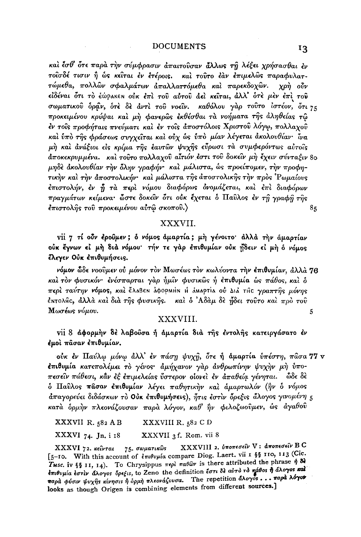και έσθ' ότε παρα την σύμφρασιν απαιτούσαν άλλως τη λέξει χρήσασθαι εν τοίσδέ τισιν ή ως κείται έν έτέροις. και τούτο έαν έπιμελώς παραφυλαττώμεθα, πολλών σφαλμάτων άπαλλαττόμεθα και παρεκδοχών. χρή οὖν είδέναι ότι το έώρακεν ούκ έπι του αύτου άει κείται, άλλ' ότε μεν έπι του σωματικού δράν, ότε δε άντι του νοείν. καθόλου γάρ τούτο ίστέον, ότι 75 προκειμένου κρύψαι καὶ μὴ φανερῶς ἐκθέσθαι τὰ νοήματα τῆς ἀληθείας τῶ έν τοίς προφήταις πνεύματι και έν τοίς αποστόλοις Χριστού λόγω, πολλαχού και ύπο της φράσεως συγχείται και ούχ ώς ύπο μίαν λέγεται ακολουθίαν· ίνα μή και ανάξιοι είς κρίμα της εαυτών ψυχής εύρωσι τα συμφερόντως αυτοίς αποκεκρυμμένα. και τούτο πολλαχού αίτιόν έστι του δοκείν μη έχειν σύνταξιν 80 μηδε άκολουθίαν την όλην γραφήν· και μάλιστα, ως προείπομεν, την προφητικήν και την άποστολικήν· και μάλιστα της άποστολικής την προς 'Ρωμαίους έπιστολήν, έν ή τα περί νόμου διαφόρως όνομάζεται, και έπι διαφόρων πραγμάτων κείμενα· ὦστε δοκεῖν ὅτι οὐκ ἔχεται ὁ Παῦλος ἐν τῆ γραφῆ τῆς έπιστολής του προκειμένου αύτώ σκοπου.)  $8<sub>5</sub>$ 

## XXXVII.

vii 7 τί ούν έρούμεν; ο νόμος άμαρτία; μη γένοιτο· άλλά την άμαρτίαν ούκ έγνων εί μή διά νόμου· τήν τε γάρ επιθυμίαν ούκ ήδειν εί μή ο νόμος έλεγεν Ούκ επιθυμήσεις.

νόμον ὧδε νοοῦμεν οὐ μόνον τὸν Μωσέως τὸν κωλύοντα τὴν ἐπιθυμίαν, ἀλλὰ 76 καί τον φυσικόν· ένέσπαρται γάρ ήμιν φυσικώς ή έπιθυμία ώς πάθος, και δ περί ταύτην νόμος, και έλαβεν αφορμήν ή άμαρτία ού Δια της γραπτής μόνης έΝτολης, άλλά καί διά της φυσικης. καί ο 'Αδάμ δε ήδει τούτο καί πρό του Μωσέως νόμου. 5

### XXXVIII.

vii 8 αφορμήν δέ λαβοῦσα ή άμαρτία διά της έντολης κατειργάσατο έν εμοί πάσαν επιθυμίαν,

ούκ έν Παύλω μόνω άλλ' έν πάση ψυχή, ότε ή άμαρτία ύπέστη, πασα 77 ν επιθυμία κατεπολέμει το γένος· αμήχανον γαρ ανθρωπίνην ψυχην μη ύποπεσείν πάθεσι, κάν εξ επιμελείας ύστερον οίονει εν άπαθεία γένηται. ώδε δε δ Παύλος πάσαν έπιθυμίαν λέγει παθητικήν και άμαρτωλόν (ήν δ νόμος άπαγορεύει διδάσκων το Ούκ έπιθυμήσεις), ήτις έστιν δρεξις άλογος γινομένη 5 κατά δρμήν πλεονάζουσαν παρά λόγον, καθ' ήν φιλοζωούμεν, ώς άγαθού

XXXVIII R. 582 C D XXXVII R. 582 A B

**XXXVI**  $74.$  Jn. i 18 XXXVII 3 f. Rom. vii 8

**XXXVIII** 2. υποπεσείν V: αποπεσείν B C XXXVI 72. κείνται 75. σωματικώς [5-10. With this account of επιθυμία compare Diog. Laert. vii 1 § 5 110, 113 (Cic. Tuse. iv §§ 11, 14). To Chrysippus  $\pi \epsilon \rho \hat{i} \pi a \theta \hat{\omega} \nu$  is there attributed the phrase  $\hat{\eta}$  & επιθυμία έστιν άλογος όρεξις, to Zeno the definition έστι δε αύτο το πάθος ή άλογος και παρά φύσιν ψυχής κίνησις ή όρμη πλεονάζουσα. The repetition άλογος... παρά λόγον looks as though Origen is combining elements from different sources.]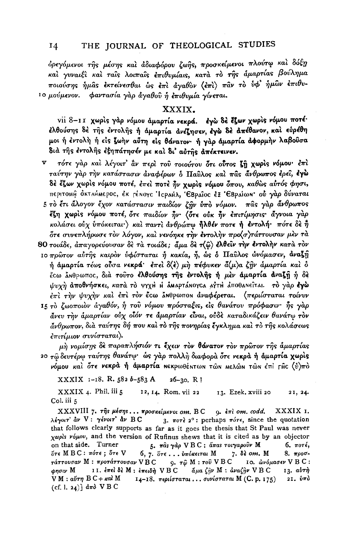όρεγόμενοι της μέσης και αδιαφόρου ζωής, προσκείμενοι πλούτω και δόξη και γυναιξι και ταις λοιπαις επιθυμίαις, κατα το της άμαρτίας βούλημα ποιούσης ήμας εκτείνεσθαι ως επι αγαθον (επι) παν το υφ' ήμων επιθυιο μούμενον. φαντασία γάρ άγαθού ή επιθυμία γίνεται.

#### XXXIX.

vii 8-11 χωρίς γάρ νόμου άμαρτία νεκρά. έγω δε έζων χωρίς νόμου ποτέ· ελθούσης δε της εντολής ή άμαρτία ανεζησεν, εγώ δε απέθανον, και εύρέθη μοι ή έντολή ή είς ζωήν αύτη είς θάνατον· ή γάρ άμαρτία άφορμήν λαβούσα διά της έντολης έξηπάτησέν με καί δι' αύτης απέκτεινεν.

τότε γάρ και λέγοιτ' αν περί του τοιούτου ότι ούτος ζη χωρίς νόμου· έπι ταύτην γάρ την κατάστασιν άναφέρων ο Παύλος και πας άνθρωπος έρει, έγώ δέ έζων χωρίς νόμου ποτέ, έπει ποτέ ήν χωρίς νόμου δπου, καθώς αύτός φησι, περιτοмή όκταύΜερος, έκ τέΝογς Ίςραμλ, ΈΒραΐος έξ ΈΒραίων ού γάρ δύναται 5 το έτι άλογον έχον κατάστασιν παιδίον ζην ύπο νόμον. πας γαρ άνθρωπος έζη χωρίς νόμου ποτέ, ότε παιδίον ήν (ότε ούκ ήν επιτίμησις άγνοια γάρ κολάσει ούχ υπόκειται·) και παντι άνθρώπω ήλθέν ποτε ή εντολή· πότε δε ή ότε συνεπλήρωσε τον λόγον, και νενόηκε την έντολην προ(σ)τάττουσαν μεν τα 80 τοιάδε, άπαγορεύουσαν δε τα τοιάδε; άμα δε τ(φ) έλθείν την έντολην κατά τον

- ιο πρώτον αύτης καιρόν ύφίσταται ή κακία, ή, ώς ό Παύλος ώνόμασεν, άναξη ή άμαρτία τέως ούσα νεκρά· έπει δ(ε) μη πέφυκεν ά(μ)α ζην άμαρτία και δ έςω άνθρωπος, διά τούτο έλθούσης της έντολής ή μέν άμαρτία άναζη ή δέ ψυχή αποθνήσκει, κατά το ψγχιί ιί άμαρτάΝογςα αγτιί αποθαΝεΐται. το γάρ έγω έπι την ψυχήν και έπι τον έτω ΔΝθρωπον αναφέρεται. (περιίσταται τοίνυν
- 15 το ζωοποιον άγαθόν, ή του νόμου πρόσταξις, είς θανάτου πρόφασιν· ής γαρ άνευ την άμαρτίαν ούχ οίόν τε άμαρτίαν είναι, ούδε καταδικάζειν θανάτω τον  $\tilde{a}\nu\theta\rho\omega\pi$ ον, δια ταύτης δή που και το της πονηρίας έγκλημα και το της κολάσεως έπιτίμιον συνίσταται).

μή νομίσης δε παραπλήσιόν τι έχειν τον θάνατον τον πρώτον της άμαρτίας 20 τω δευτέρω ταύτης θανάτω· ώς γάρ πολλή διαφορά ότε νεκρά ή άμαρτία χωρίς νόμου καί ότε νεκρά ή άμαρτία ΝεκρωθέΝτωΝ τώΝ ΜελώΝ τώΝ έπί ΓΑς (ΰ)πό

XXXIX 1-18. R. 582 b-583 A  $26 - 30$ , R ?

XXXIX 4. Phil. iii 5 12, 14. Rom. vii 22 13. Ezek. xviii 20 21, 24. Col. iii 5

XXXVIII 7. της μέσης... προσκείμενοι οm. BC XXXIX I.  $9.$   $\epsilon \pi i$  om.  $codd.$ λέγοιτ' αν V: γένοιτ' αν BC 3.  $\pi$ orè 2° : perhaps  $\pi$ óre, since the quotation that follows clearly supports as far as it goes the thesis that St Paul was never  $\chi$ ωρίς νόμου, and the version of Rufinus shews that it is cited as by an objector on that side. Turner 5. πας γάρ VBC: άπας τοιγαρούν Μ  $6.$   $\pi$ oré,  $5\tau$ ε M B C : πότε;  $5\tau$ ε V 6, 7. ὅτε... υπόκειται Μ 7. δε ο $m$ . Μ  $8.$  προσ-9.  $τ\hat{φ}$  M :  $τo\hat{v}$  V B C τάττουσαν Μ : προτάττουσαν V B C 10. *ών όμασεν* V B C: <sub>Φησιν</sub> Μ II. έπελ δέ Μ: έπειδή VBC  $\tilde{\alpha} \mu$ α  $\zeta \tilde{\eta} \nu$  M :  $\dot{\alpha} \nu$ α $\zeta \tilde{\eta} \nu$  V B C 13. αύτή  $V M : a\mathcal{V}\tau\eta \cdot B C + \kappa a\mathcal{V} M$ 14-18. περιίσταται... συνίσταται Μ (C. p. 175) 2Ι. ύπο (cf. l. 24)]  $d\pi d$  V B C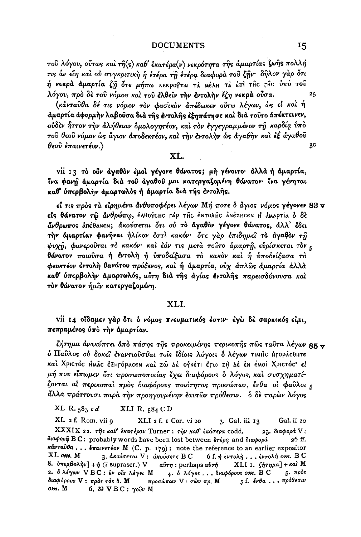τοῦ λόγου, οὖτως καὶ τῆ(ς) καθ' ἐκατέρα(ν) νεκρότητα τῆς ἀμαρτίας ζωῆς πολλή τις ἂν εἶη καὶ οὐ συγκριτικὴ ἡ ἐτέρα τῆ ἐτέρα διαφορὰ τοῦ ζῆν· δῆλον γὰρ ὅτι  $\hat{\eta}$  νεκρά άμαρτία ζ $\hat{\eta}$  ότε μήπω Νεκρογται τα Μέλμ τα έπὶ τĤC [ĤC ὑπὸ τοῦ λόγου, πρὸ δὲ τοῦ νόμου καὶ τοῦ ἐλθεῖν την ἐντολην ἔζη νεκρα οὖσα.

(κάνταυθα δέ τις νόμον τον φυσικον απέδωκεν ούτω λέγων, ώς εί και ή άμαρτία άφορμήν λαβούσα διά της έντολης έξηπάτησε και διά τούτο απέκτεινεν, ούδεν ήττον την άλήθειαν όμολογητέον, και τον έγγεγραμμένον τη καρδία ύπο του θεου νόμον ως άγιον αποδεκτέον, και την έντολην ως αγαθην και εξ αγαθου θεού έπαινετέον.)

## $\mathbf{X}$ İ.

Vii 13 το ούν αναθον έμοι γένονε θάνατος; μη γένοιτο· άλλα ή αμαρτία, ίνα φανή άμαρτία διά του άγαθου μοι κατεργαζομένη θάνατον· ίνα γένηται καθ' ύπερβολήν άμαρτωλός ή άμαρτία διά της έντολης.

εί τις προς τα είρημένα ανθυποφέρει λέγων Μή ποτε ο άγιος νόμος γέγονεν 83  $\mathbf v$ είς θάνατον τω άνθρώπω, έλθογεμε τλρ της έΝτολης ΑΝέΖΗςεΝ Η ΑΜΑΡΤΙΑ δ δε <u>άνθρωπος λπέθα</u>κεκ; άκούσεται ότι ού το άγαθον γέγονε θάνατος, άλλ' έδει την άμαρτίαν φανήναι ήλίκον έστι κακόν· ότε γαρ έπιδημεί το άγαθον τη ψυχή, φανερούται το κακόν· και εάν τις μετα τούτο άμαρτή, ευρίσκεται τον ε θάνατον ποιούσα ή έντολή ή υποδείξασα το κακον και ή υποδείξασα το φευκτέον έντολή θανάτου πρόξενος, και ή άμαρτία, ούχ άπλως άμαρτία άλλα καθ' ύπερβολήν άμαρτωλός, αύτη διά της άγίας έντολης παρεισδύνουσα και τον θάνατον ήμίν κατεργαζομένη.

## XLI.

vii 14 οΐδαμεν γάρ ότι ο νόμος πνευματικός έστιν· έγω δε σαρκικός είμι, πεπραμένος ύπο την άμαρτίαν.

ζήτημα ἀνακύπτει ἀπὸ πάσης τῆς προκειμένης περικοπῆς πῶς ταῦτα λέγων 85 <del>v</del> δ Παύλος ού δοκεί έναντιούσθαι τοίς ίδίοις λόγοις ο λέγων τιμής ήτοράςθητε καί Χριστός ΗΜΏς έξητόρασεν και τώ Δε ογκέτι έτω τη Δε έν έΜοι Χριστός εί μή που είπωμεν ότι προσωποποιίας έχει διαφόρους ο λόγος, και συσχηματίζονται αί περικοπαί πρός διαφόρους ποιότητας προσώπων, ένθα οί φαύλοι 5 άλλα πράττουσι παρά την προηγουμένην έαυτων πρόθεσιν. δ δε παρών λόγος

XL R. 583 cd XLI R. 584 C D

XL 2 f. Rom. vii 9 XLI 2 f. I Cor. vi 20 3. Gal. iii 13 Gal. ii 20 XXXIX 22. της καθ' έκατέραν Turner : την καθ' έκάτερα codd. 23. διαφορά V: διαφορά BC: probably words have been lost between έτέρα and διαφορά 26 ff. κάνταύθα... έπαινετέον Μ (C. p. 179): note the reference to an earlier expositor XL om. M 3. ακούσεται V: ακούσετε B C 6 f, ή έντολή... έντολή οm. B C 8. υπερβολήν] + ή (i suprascr.) V  $a\acute{v}\tau\eta$ : perhaps  $a\grave{v}\tau\acute{\eta}$ XLI 1.  $\sin\mu a$  +  $\kappa a$  M  $5.$   $m\rho$ os 2. δλέγων VBC: ἐν οἶs λέγει Μ 4. δ λόγος... διαφόρους οm. B C διαφόρους V: πρός τάς δ. Μ προσώπων V: τῶν πρ. Μ 5 f. ένθα ... πρόθεσιν om. M  $6.$  δε VBC: γούν Μ

25

30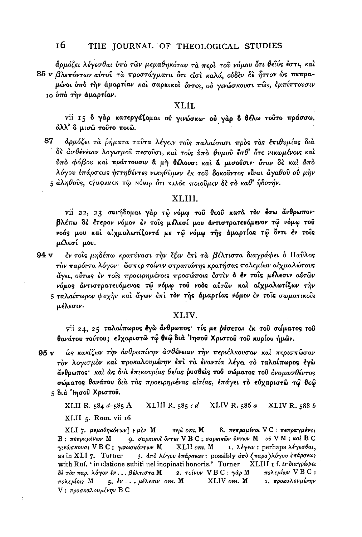άρμόζει λέγεσθαι ύπὸ τῶν μεμαθηκότων τὰ περὶ τοῦ νόμου ὅτι θεῖός ἐστι, καὶ 85 v βλεπόντων αύτου τα προστάγματα ότι είσι καλά, ούδεν δε ήττον ώς πεπρα-

μένοι ύπό την άμαρτίαν και σαρκικοί όντες, ού γινώσκουσι πώς, εμπίπτουσιν ιο ύπό την άμαρτίαν.

### XLII.

vii 15 δ γάρ κατεργάζομαι ού γινώσκω· ού γάρ δ θέλω τούτο πράσσω, άλλ' δ μισώ τούτο ποιώ.

87 άρμόζει τα ρήματα ταυτα λέγειν τους παλαίσασι προς τας επιθυμίας δια δε ασθένειαν λογισμού πεσούσι, και τοίς ύπο θυμού έσθ' ότε νικωμένοις και ύπο φόβου και πράττουσιν α μη θέλουσι και α μισούσιν όταν δε και άπο λόγου επάρσεως ήττηθέντες νικηθώμεν έκ του δοκούντος είναι άγαθού ού μήν 5 άληθούς, σήμφαμεν τω Νόμω ότι καλός ποιούμεν δε το καθ' ήδονήν.

## XLIII.

vii 22, 23 συνήδομαι γάρ τω νόμω του θεού κατά τον έσω άνθρωπον· βλέπω δε έτερον νόμον έν τοις μέλεσί μου αντιστρατευόμενον τώ νόμω του νοός μου και αίχμαλωτίζοντά με τω νόμω της άμαρτίας τω όντι έν τοις μέλεσί μου.

 $94<sub>v</sub>$ έν τοις μηδέπω κρατύνασι την έξιν έπι τα βέλτιστα διαγράφει δ Παΰλος τον παρόντα λόγον· ώσπερ τοίνυν στρατιώτης κρατήσας πολεμίων αίχμαλώτους άγει, ούτως έν τοίς προειρημένοις προσώποις έστιν δ έν τοίς μέλεσιν αύτων νόμος άντιστρατευόμενος τώ νόμω του νοός αύτών και αίχμαλωτίζων την 5 ταλαίπωρον ψυχήν και άγων έπι τον της άμαρτίας νόμον έν τοις σωματικοις μέλεσιν.

## XLIV.

vii 24, 25 ταλαίπωρος έγω άνθρωπος· τίς με ρύσεται έκ του σώματος του θανάτου τούτου; εύχαριστώ τώ θεώ διά 'Ιησού Χριστού του κυρίου ήμών.

ώς κακίζων την άνθρωπίνην άσθένειαν την περιέλκουσαν και περισπώσαν  $95 \text{ v}$ τον λογισμόν και προκαλουμένην έπι τα έναντία λέγει το ταλαίπωρος έγω άνθρωπος, και ως δια επικουρίας θείας ρυσθείς του σώματος του ονομασθέντος σώματος θανάτου διά τάς προειρημένας αίτίας, έπάγει το εύχαριστώ τω θεώ 5 διά 'Ιησού Χριστού.

XLII R. 584 d-585 A XLIII R.  $585cd$ XLIV R.  $586a$ XLIV R. 588 b XLII 5. Rom. vii 16

 $περλ$  om. M XLI 7. μεμαθηκότων  $+ \mu$ εν Μ 8. πεπραμένοι VC: πεπραγμένοι 9. σαρκικοί όντες VBC ; σαρκικών όντων Μ ού VM : καί BC  $B$ : πεπραμένων Μ γινώσκουσι VBC: γινωσκόντων Μ 1. λέγειν: perhaps λέγεσθαι, XLII om. M as in XLI 7. Turner 3. άπο λόγου επάρσεως: possibly άπο (παρα)λόγου επάρσεως with Ruf. 'in elatione subiti uel inopinati honoris.' Turner XLIII I f. trδιαγράφει πολεμίων  $V B C$ : δέ τον παρ. λόγον έν... βέλτιστα Μ 2.  $\tau o \text{if } V B C$ :  $\gamma d \rho M$ XLIV om. M 2. προκαλουμένην πολεμίοις M 5. έν... μέλεσιν οm. Μ V: προσκαλουμένην Β C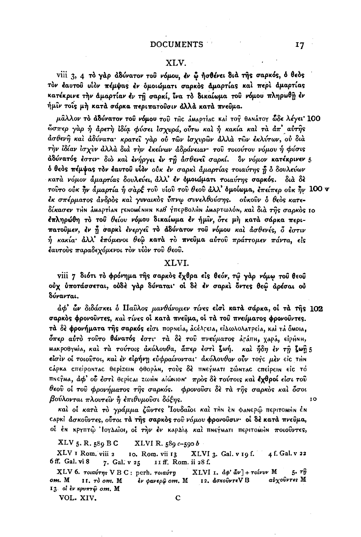## XLV.

viii 3, 4 το γάρ άδύνατον του νόμου, εν ώ ήσθένει διά της σαρκός, ό θεός τον έαυτου υίον πέμψας έν δμοιώματι σαρκός άμαρτίας και περι άμαρτίας κατέκρινε την άμαρτίαν έν τη σαρκί, ΐνα το δικαίωμα του νόμου πληρωθη έν ήμιν τοις μή κατά σάρκα περιπατούσιν άλλά κατά πνεύμα.

μάλλον το άδύνατον του νόμου του της αμαρτίας και τος θαηάτογ ώδε λέγει 100 ώσπερ γάρ ή άρετη ίδία φύσει ίσχυρά, ούτω και ή κακία και τα άπ' αύτης άσθενῆ καὶ ἀδύνατα· κρατεῖ γὰρ οὐ τῶν ἰσχυρῶν ἀλλὰ τῶν ἐκλύτων, οὐ διὰ την ίδίαν ίσχυν άλλα δια την εκείνων αδράνειαν· του τοιούτου νόμου ή φύσις άδύνατός έστιν διο και ένήργει έν τη άσθενεί σαρκί. δν νόμον κατέκρινεν 5 δ θεός πέμψας τον έαυτού υίον ούκ έν σαρκί άμαρτίας τοιαύτης ή δ δουλεύων κατά νόμον άμαρτίας δουλεύει, άλλ' έν όμοιώματι τοιαύτης σαρκός. ծւձ ծե τούτο ούκ ην άμαρτία ή σαρξ του υίου του θεού άλλ' όμοίωμα, επείπερ ούκ ην 100 v έκ σπέρματος άνδρος και γυναικος ύπνω συνελθούσης. ουκουν ο θεος κατεδίκασεν τμη άΜαρτίαn ΓεηοΜέΝΗΝ Καθ' ΥπερΒολμη άΜαρτωλόη, καὶ διὰ τῆς σαρκὸς Ιο επληρώθη το του θείου νόμου δικαίωμα έν ήμιν, ότε μη κατά σάρκα περιπατούμεν, έν ή σαρκί ένεργεί το άδύνατον του νόμου και ασθενές, ο έστιν η κακία άλλ' έπόμενοι θεώ κατά το πνεύμα αύτου πράττομεν πάντα, είς έαυτούς παραδεχόμενοι τὸν υίὸν τοῦ θεοῦ.

## XLVL

viii 7 διότι το φρόνημα της σαρκος έχθρα είς θεόν, τω γαρ νόμω του θεού ούχ ύποτάσσεται, ούδε γαρ δύναται οί δε έν σαρκι όντες θεώ αρέσαι ού δύνανται.

άφ' ὧν διδάσκει δ Παΰλος μανθάνομεν τίνες είσι κατά σάρκα, οί τα της 102 σαρκός φρονούντες, και τίνες οι κατά πνεύμα, οι τά του πνεύματος φρονούντες. τά δε φρονήματα της σαρκός είσι πορηεία, ασέλτεια, είλωλολατρεία, και τα δωσια, δπερ αύτο τούτο θάνατός έστι τα δε του πνεύματος ατάπη, χαρά, είρμηη, ΜακροθγΜία, καὶ τὰ τούτοις ἀκόλουθα, ἄπερ ἐστὶ ζωή. καὶ ἤδη ἐν τῆ ζωῆ5 είσιν οί τοιούτοι, και έν είρήνη εύφραίνονται άκόλουθον ούν τογς μεν είς την Cápka Cπείροnτας θερίzειn φθοράn, τούς δε πηεγΜατι zώnτας cπείρειn είς το πηεγμα, άφ' ού έστι θερίςαι ζωμη αιώνιοη πρός δε τούτοις και έχθροί είσι του θεού οί του φρογήματος της σαρκός. φρονούσι δε τα της σαρκός και δσοι βούλονται πλουτεΐν ή επιθυμούσι δόξης. 10

καί οί κατά το γράμμα ζώντες Ιουδαΐοι καί την έν φανερώ περιτοΜήν έν capki άσκούντες, ούτοι τα της σαρκός του νόμου φρονούσιν· οί δέ κατά πνεύμα, οί έΝ κργπτῷ 'loγλαῖοι, οί τὴν ἐν καρλία καὶ πΝεγματι περιτομήν ποιοῦντες,

 $XLV_5$ , R,  $589$  BC XLVI R.  $589c - 590b$ 

XLV 1 Rom, viii 2 XLVI 3. Gal. v 19 f. 4 f. Gal. v 22 10. Rom. vii 13 6 ff. Gal. vi 8 11 ff, Rom. ii 28 f. 7. Gal. v 25

XLV 6. τοιαύτης V B C: perh. τοιαύτη XLVI 1.  $d\phi'$   $d\nu$  +  $\tau o$ *ivvv* M  $5.77$ 12. άσκούντε VB αύχούντες M от. М  $II. 7d$  om. M έν φανερώ om. M 13. οἱ ἐν κρυπτῷ om, M

VOL. XIV.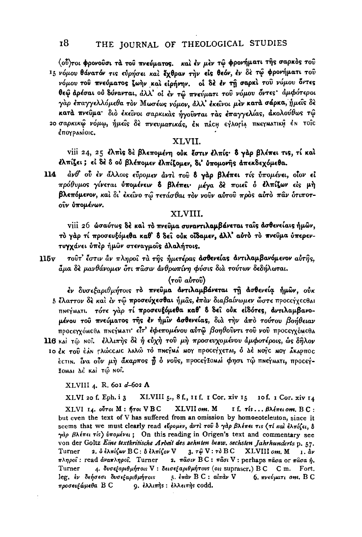(ού) τοι φρονούσι τά του πνεύματος. και έν μέν τω φρονήματι της σαρκός του 15 νόμου θάνατόν τις εύρήσει και έχθραν την είς θεόν, έν δε τώ φρονήματι του νόμου του πνεύματος ζωήν και είρήνην, οι δε έν τη σαρκι του νόμου όντες θεώ αρέσαι ού δύνανται, άλλ' οι εν τώ πνεύματι του νόμου όντες άμφότεροι γάρ έπαγγελλόμεθα τον Μωσέως νόμον, άλλ' έκεινοι μεν κατά σάρκα, ήμεις δε κατά πνεύμα διο έκείνοι σαρκικάς ήγούνται τας έπαγγελίας, άκολούθως τώ 20 σαρκικώ νόμω, ήμεις δε πνευματικάς, έν πάς εγλορία πνεγματική έν τοίς έπογρανίοις.

#### XLVII.

viii 24, 25 ελπίς δέ βλεπομένη ούκ έστιν ελπίς· δ γάρ βλέπει τις, τί καί έλπίζει; εί δέ δ ού βλέπομεν έλπίζομεν, δι' ύπομονής απεκδεχόμεθα.

 $114$ άνθ' ού έν άλλοις εύρομεν άντι του δ γάρ βλέπει τίς υπομένει, οίον εί πρόθυμος γίνεται ύπομένειν δ βλέπει· μέγα δε ποιεί ο έλπίζων είς μή βλεπόμενον, και δι' έκεινο τω τετάσθαι τον νούν αύτου προς αύτο παν ότιποτούν ύπομένων.

#### XLVIII.

viii 26 ώσαύτως δέ και το πνεύμα συναντιλαμβάνεται ταις ασθενείαις ήμων, το γάρ τί προσευξόμεθα καθ' δ δεί ούκ οΐδαμεν, άλλ' αύτο το πνεύμα ύπερεντυγχάνει ύπέρ ήμων στεναγμοΐς άλαλήτοις.

 $115<sub>v</sub>$ τουτ' έστιν άν πληροί τα της ήμετέρας ασθενείας αντιλαμβανόμενον αύτης. άμα δε μανθάνομεν ότι πασιν άνθρωπίνη φύσις δια τούτων δεδήλωται.

#### $(700 \text{ at} 700)$

- έν δυσεξαριθμήτοις το πνεύμα αντιλαμβάνεται τη ασθενεία ήμων, ούκ 5 έλαττον δε και έν τω προσεύχεσθαι ήμας, έπαν διαβαίνωμεν ώστε προσείχες θαι πηεγματι. τότε γάρ τί προσευξόμεθα καθ' δ δεί ούκ είδότες, αντιλαμβανομένου του πνεύματος της έν ήμιν ασθενείας, δια την άπο τούτου βοήθειαν προσεγγόμεθα πηεγματι είτ' εφεπομένου αύτω βοηθούντι του νου προσεγγόμεθα
- 116 και τω Νοί. ελλιπής δε ή εύχή του μή προσευχομένου άμφοτέροις, ως δήλον 10 έκ του έλη Γλώς αις λαλώ το πηεγμά μογ προσεγχεται, ό Δέ Νογς μογ άκαρπος έςτιΝ. ίνα ούν μή άκαρπος ή ό νούς, προσεγξοΜΑΙ φησι τώ πΝεγΜΑΤΙ, προσεγ-ZOMAI LE KAI TỔ NOT.

XLVIII 4, R. 601 d-602 A

XLVIII 5., 8 f., 11 f. 1 Cor. xiv 15 10 f. 1 Cor. xiv 14 XLVI 20 f. Eph. i 3

 $XLVI$   $I_4$ .  $o\bar{v}\tau o$   $M:$   $\hbar\tau o$   $VBC$ XLVII om. M If. τίς... βλέπει οm. BC: but even the text of V has suffered from an omission by homoeoteleuton, since it seems that we must clearly read  $\epsilon\bar{\psi}\rho\sigma\mu\epsilon\nu$ ,  $\frac{d}{d\nu}r\partial\tau\sigma\partial\phi\partial\lambda\epsilon\pi\epsilon\sigma\tau\epsilon\sigma\epsilon$  (The rad  $\frac{d}{d\lambda}\pi(\epsilon_1,\delta)$  $\gamma d\rho$   $\beta \lambda$ *(πει τίς)* υπομένει; On this reading in Origen's text and commentary see von der Goltz Eine textkritische Arbeit des zehnten bezw. sechsten Jahrhunderts p. 57. 2.  $\delta$  έλπίζων  $BC: \delta$  έλπίζον  $V = 3$ , τ $\hat{\omega} V : \tau \delta BC$ Turner XLVIII om. M  $1.$  $\Delta v$ πληροί: read άναπληροί. Turner 2. πάσιν BC: πάσι V: perhaps πάσα or πάσα ή. 4. δυσεξαριθμήτοιs V: δεισεξαριθμήτουs (οιs suprascr.) BC C m. Turner Fort. leg, έν δεήσεσι δυσεξαριθμήτοις 5. έπαν B C : αίπαν V 6. πνεύματι om. B C προσευξώμεθα Β C 9. ελλιπής: ελλειπής codd.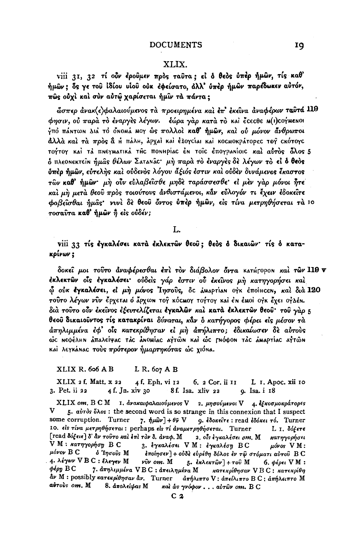## XLIX.

viii 31, 32 τί ούν έρουμεν πρός ταυτα; εί δ θεός ύπέρ ήμων, τίς καθ' ήμων; ός γε του ίδίου υίου ούκ έφείσατο, άλλ' ύπέρ ήμων παρέδωκεν αύτόν, πῶς οὐχὶ καὶ σὺν αὐτῶ χαρίσεται ἡμῖν τὰ πάντα:

ώσπερ άνακ(ε)φαλαιούμενος τα προειρημένα και επ' εκείνα αναφέρων ταυτά 119 φησιν, ού παρά το έναργές λέγων. εώρα γάρ κατά το και έςεςθε Μ(ι) τογμενοι ήπό πάΝτωΝ Διά τό όΝοΜά ΜΟΥ ώς πολλοί καθ' ήμών, καί ού μόνον άνθρωποι άλλά και τά πρός α Η πάλη, αρχαί και έξογείαι και κοεΜοκράτορες τογ εκότογε τούτον και τά πηεγματικά της ποημρίας έη τοις επογραμίοις και αύτος όλος 5 δ πλεοΝεκτεΐΝ ήμας θέλων ΣαταΝάς· μή παρά το έναργες δε λέγων το εί δ θεός ύπέρ ήμων, εύτελής και ούδενος λόγου άξιός έστιν και ούδεν δυνάμενος έκαστος των καθ' ήμων· μη ούν εύλαβείσθε μηδέ ταράσσεσθε· εί μέν γάρ μόνοι ήτε και μη μετά θεού προς τοιούτους ανθιστάμενοι, κάν εύλογόν τι έχειν έδοκείτε φοβείσθαι ήμας· νυνί δε θεού όντος ύπερ ήμων, είς τίνα μετρηθήσεται τα 10 τοσαύτα καθ' ήμων ή είς ούδέν;

L.

viii 33 τίς έγκαλέσει κατά έκλεκτών θεού; θεός ο δικαιών· τίς ό κατακρίνων ;

δοκεί μοι τούτο άναφέρεσθαι έπι τον διάβολον όντα κατήτοροΝ και των 119  $\mathbf v$ έκλεκτῶν οἶς ἐγκαλέσει· οὐδεὶς γάρ ἐστιν οῢ ἐκεῖνος μὴ κατηγορήσει καὶ ώ ούκ έγκαλέσει, εί μή μόνος Ίησούς, δε άμαρτίαν ογκ έποίнςεν, καί διά 120 τούτο λέγων νύν έρχεται ό άρχων τογ κός ωργ τογτογ και έν έμοι ογκ έχει ογλέν. διά τούτο ούν έκείνος έξευτελίζεται έγκαλών και κατά εκλεκτών θεού· του γάρ 5 θεού δικαιούντος τίς κατακρίναι δύναται, κάν δ κατήγορος φέρει είς μέσον τα άπηλιμμένα έφ' οΐς κατεκρίθησαν εί μὴ ἀπήλιπτο; ἐδικαίωσεν δὲ αὐτοὺς ώς neφέλhn ảπαλείψας τảς ảnomiac aγτῶn καὶ ὡς τnόφοn τảς åmapτίας aγτῶn καί λεγκάΝας τούς πρότερον ήμαρτηκότας ώς χιόΝα.

XLIX R. 606 A B  $L R. 607 A B$ 

 $XLIX$  2 f. Matt.  $x$  22 4f. Eph. vi 12  $6.2$  Cor. ii  $11$ L I. Apoc. xii 10 3. Pet. ii 22 4 f. Jn. xiv 30 8f. Isa. xliv 22 9. Isa. i 18

XLIX om. B C M 1. ανακαιφαλαιούμενος V 2. μησούμενοι V 4. εξκοσμοκράτορες V 5. avros ones: the second word is so strange in this connexion that I suspect some corruption. Turner 7.  $\eta \mu \hat{\omega} \nu$  +  $\theta \bar{\nu}$  V  $9.$  έδοκείτε: read έδόκει τό. Turner 10. είς τίνα μετρηθήσεται: perhaps είς τί αναμετρηθήσεται. Turner L 1. δόξετε [read δόξειε] δ' αν τούτο και επι τον δ. αναφ. Μ 2. οίς έγκαλέσει οm. M κατηγορήσει V M : κατηγορήση Β C 3. εγκαλίσει VM: εγκαλέση BC  $\mu$ óvos VM:  $\mu$ óvov  $B C$ ό Ίησους Μ εποίησεν] + ούδε ευρέθη δόλος έν τω στόματι αύτου Β C 4. λέγων VBC: έλεγεν Μ vîv om. M 5. εκλεκτών] + του Μ 6. φέρει VM:  $\phi$ *kon*  $B C$ 7. άπηλιμμένα VBC : άπειλημένα Μ κατεκρίθησαν VBC: κατεκρίθη αν M: possibly κατεκρίθησαν αν. Turner απήλιπτο V: απείλιπτο B C: απήλειπτο M airoùs om. M 8. απολείψας M και ως γνόφον... αυτών οm. B C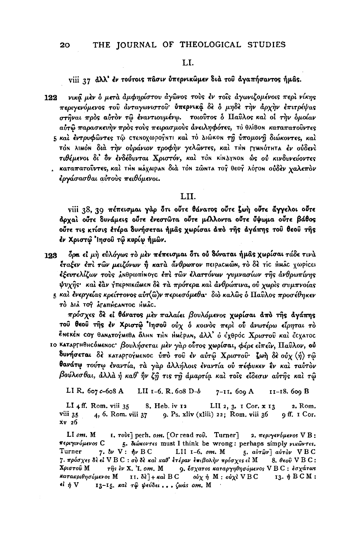### LI.

#### viii 27 dλλ' έν τούτοις πάσιν ύπερνικώμεν διά του αγαπήσαντος ήμας.

νικά μέν ο μετά αμφηρίστου αγώνος τούς έν τοίς αγωνιζομένοις περί νίκης 122 περιγενόμενος του άνταγωνιστου ύπερνικά δε ο μηδε την άρχην επιτρέψας στήναι πρός αύτον τω εναντιουμένω. τοιούτος ο Παύλος και οί την ομοίαν αύτω παρασκευήν πρός τούς πειρασμούς άνειληφότες, το θλίβου καταπατούντες 5 και έντρυφώντες τώ στεΝοχωρογητι και το ΔιώκοΝ τη υπομονή διώκοντες, και τοΝ λιμόν διά την ουράνιον τροφήν γελώντες, και τΗΝ ΓΥΜΝΟΤΗΤΑ έν ουδενι τιθέμενοι δι όν ενδέδυνται Χριστόν, και τον κίνλγνον ώς ού κινδυνεύοντες · καταπατούντες, καί τΗΝ ΜάχαιραΝ διά τοΝ ΖώΝτα το θεο λότοΝ ούδεν χαλεπον έργάσασθαι αὐτοὺς πειθόμενοι.

#### LII.

viii 38, 39 πέπεισμαι γάρ δτι ούτε θάνατος ούτε ζωή ούτε άγγελοι ούτε άρχαι ούτε δυνάμεις ούτε ένεστώτα ούτε μέλλοντα ούτε ύψωμα ούτε βάθος ούτε τις κτίσις έτέρα δυνήσεται ήμας χωρίσαι άπό της αγάπης του θεου της έν Χριστώ 'Ιησού τώ κυρίω ήμων.

δρα εί μή εύλόγως το μέν πέπεισμαι ότι ού δύναται ήμας χωρίσαι τάδε τινά 123 έταξεν έπι των μειζόνων ή κατά άνθρωπον πειραςΜώη, το δε τίς ΗΜΑς χωρίςει έξευτελίζων τους ΔΝθρωπίνογς έπι των έλαττόνων γυμνασίων της ανθρωπίνης ψυχής· και έαν γπερνικώμεν δε τα πρότερα και ανθρώπινα, ού χωρις συμπνοίας 5 και ένεργείας κρείττονος αὐτ(ὣ)ν περιεσόμεθα· διὸ καλῶς ὁ Παῦλος προσέθηκεν

TÒ AIÀ TOY ATATTHCANTOC HMÂC.

πρόσχες δε εί θάνατος μεν παλαίει βουλόμενος χωρίσαι άπό της άγάπης τού θεού τής έν Χριστώ 'Ιησού ούχ ο κοινός περί ού ανωτέρω είρηται το έΝεκέΝ σοχ θαΝατογΜεθα όλμη τΗΝ ΗΜέραΝ, άλλ' ο έχθρος Χριστού και έςχατος ιο καταργηθης όμενος· βουλήσεται μέν γάρ ούτος χωρίσαι, φέρε είπειν, Παύλον, ού δυνήσεται δε καταργογμενος ύπο του εν αύτω Χριστου ζωή δε ούχ (ή) τω θανάτφ τούτφ έναντία, τα γαρ άλλήλοις έναντία ου πέφυκεν έν και ταυτον βούλεσθαι, άλλὰ ἡ καθ' ἣν ζῆ τις τῆ ἀμαρτία καὶ τοῖς εἶδεσιν αὐτῆς καὶ τῷ

LI R. 607 c-608 A LII 1-6. R. 608 D-b 7-11. 609 A II-18. 609 B

LI  $4$  ff. Rom. viii 35 8. Heb. iv 12 LII 2, 3.  $I$  Cor.  $x$  13 2. Rom. viii 35 4, 6. Rom. viii 37 9. Ps. xliv (xliii) 22; Rom. viii 36 9 ff. 1 Cor. xv 26

 $LI$  om.  $M$  $\mathbf{I.}$   $\tau$ ovs] perh. om. [Or read  $\tau$ ov. Turner] 2. περιγενόμενος V B: περιγινόμενος C 5. διώκοντες must I think be wrong: perhaps simply νικώντες. Turner 7.  $\delta \nu$  V:  $\phi \nu$  BC LII 1-6. om. M 5. αύτων] αύτον VBC 7. πρόσχες δε εί V B C : σύ δε και καθ' έτέραν επιβολήν πρόσχες εί M 8. θεού V B C: Χριστού Μ  $\tau \hat{\eta}$ s ἐν Χ. Ἰ. οm. Μ 9. έσχατος καταργηθησόμενος VBC: εσχάτως 11. δὲ] + καὶ B C  $o\dot{v}\chi\dot{\eta}$  M :  $o\dot{v}\chi$ ὶ V B C κατακριθησόμενος Μ 13.  $\eta$  B C M :  $i \, \eta \, V$ 13-15. και τω ψεύδει... ζωάς om. M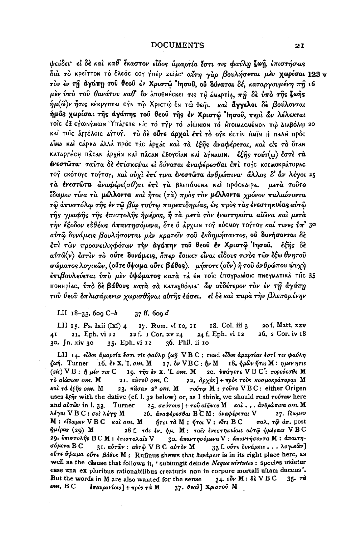ψεύδει εί δε και καθ' έκαστον είδος άμαρτία έστι τις φαύλη ζωή, επιστήσεις διά το κρείττου το έλεός τον γπέρ zωάς αύτη γάρ βουλήσεται μέν χωρίσαι 123 ν τον έν τη αγάπη του θεου έν Χριστώ Ιησου, ου δύναται δέ, καταργουμένη πη 16 μέν ύπο του θανάτου καθ' δν λποθημεικει τις τη λημερτία, πη δε ύπο της ζωής ήμ(ω)ν ήτις κέκργπται την τώ Χριττώ έν τώ θεώ. και άγγελοι δε βούλονται ήμας χωρίσαι της αγάπης του θεού της έν Χριστώ Ίησου, περί ών λέλεκται τοΐς έξ εγωηγμων Υπάτετε είς το πγρ το αιώνιον το Ητοιμαςμένον τώ Διαβόλω 20 καί τοις άρτέλοις αγτογ. το δε ούτε άρχαι έπι το ογκ έςτιν ήμιν ή παλή πρός αίΜα καί σάρκα άλλά πρός τάς άρχάς και τα έξης αναφέρεται, και είς το όταν καταργήςΗ πάςαν άρχην και πάςαν έξογείαν και Δήναμιν. έξης τούτ(ω) έστι τα ένεστώτα· ταύτα δε επίσκεψαι εί δύναται αναφέρεσθαι επι τογς κοςΜοκράτορας τογ εκότογε τογτογ, και ούχι έπί τινα ένεστώτα άνθρώπινα· άλλος δ' άν λέγοι 25 τά ένεστώτα άναφέρε (σθ)αι έπι τα βλεπόμενα και πρόσκαιρα. μετά τούτο Ϊδωμεν τίνα τα μέλλοντα και ήτοι (τα) προς τον μέλλοντα χρόνον παλαίσοντα τώ αποστόλω της έν τω βίω τούτω παρεπιδημίας, ως προς τας ένεστηκυίας αυτώ της γραφής της επιστολής ήμέρας, ή τα μετά τον ενεστηκότα αίωνα και μετά την έξοδον εύθέως απαντησόμενα, ότε ο άρχωΝ τογ κός Μογτογκαί τινες ύπ' 30 αύτω δυνάμεις βουλήσονται μέν κρατεΐν του εκδημήσαντος, ού δυνήσονται δέ έπι των προανειληφότων την αγάπην του θεού έν Χριστώ Ίησου. έξης δε  $a\dot{v}\dot{\alpha}(\nu)$  έστιν το ούτε δυνάμεις, όπερ έοικεν είναι είδους τινος των έξω θνητού σώματος λογικών, (ούτε ύψωμα ούτε βάθος). μήποτε (ούν) ή του άνθρώπου ψυχή έπιβουλεύεται ύπο μεν ύψώματος κατά τλ έη τοΐς έπογραμίοις πηεγματικά της 35 ποΝΗρίας, ύπό δε βάθους κατά τα καταχθόνια ών ούδέτερον τον έν τη άγάπη του θεου δπλισάμενον χωρισθήναι αύτης έάσει. εί δε και παρά την βλεπομένην

LII  $18-35$ , 600 C-b  $37$  ff. 609  $d$ 

LII 15. Ps. lxii (lxi) 4 17. Rom. vi 10, 11 18. Col. iii 3 20 f. Matt. xxv 21. Eph. vi 12 22 f. 1 Cor. xv 24 24 f. Eph. vi 12 26. 2 Cor. iv 18 41 35. Eph. vi 12 36. Phil. ii 10 30. Jn. xiv 30

LII 14. είδος άμαρτία έστι τις φαύλη ζωή VBC: read είδος άμαρτίας έστί τις φαύλη ζωή. Turner 16. έν Χ. Ι. οm. Μ 17. δν VBC:  $ην$  Μ 18. ήμων ήτις Μ: ημεν ητις (sic) V Β : ή μέν τις C 19. της έν Χ. Ι. οm. Μ 20. υπάγετε V Β C': πορεύεσθε Μ τό αίώνιον om. M 21. αύτου om. C 22. άρχὰς] + πρὸς τοὺς κοσμοκράτορας Μ καί τα έξης om. M 23. πάσαν 2° οm. Μ τούτω Μ: τούτο VBC: either Origen uses  $\xi \hat{\eta}$ s with the dative (cf. l. 32 below) or, as I think, we should read rourow here and  $ab\tau\hat{\omega}\nu$  in l. 33. Turner  $25. \sigma\kappa\acute{o}\tau\omega s$  +  $\tau o\hat{v}$  aloves M  $\kappa a\hat{i}$ ...  $dv\theta\rho\acute{\omega}\pi\iota\nu a$  om. M λέγοι V B C : σολ λέγη M 26. αναφέρεσθαι ΒCM: αναφέρεται V 27. ΐδωμεν παλ. τ $\hat{\omega}$  άπ. post  $M:$  είδωμεν  $V B C$  και οm,  $M$ ήτοι τὰ Μ : ήτοι V : εἶτι B C ήμέρας (20) Μ 28 f. τάς έν. ήμ. Μ: ταίς ένεστηκυίαις αύτφ ήμέραις VBC 29. έπιστολής BCM: επιστολαίς V 30. άπαντησύμενα V: άπαντήσοντα M: άπαιτησόμενα B C 31. αύτων: αύτω VBC αύτον Μ 33 f. ούτε δυνάμεις... λογικών] ούτε ύψωμα ούτε βάθος Μ: Rufinus shews that δυνάμεις is in its right place here, as well as the clause that follows it, 'subiungit deinde Neque uirtutes : species uidetur esse una ex pluribus rationabilibus creaturis non in corpore mortali uitam ducens'. But the words in M are also wanted for the sense 34. οὖν Μ : δὲ V B C  $35.7<sup>d</sup>$ om. BC *έπουρανίοι*s] + πρός τά Μ 37. θεού] Χριστού Μ